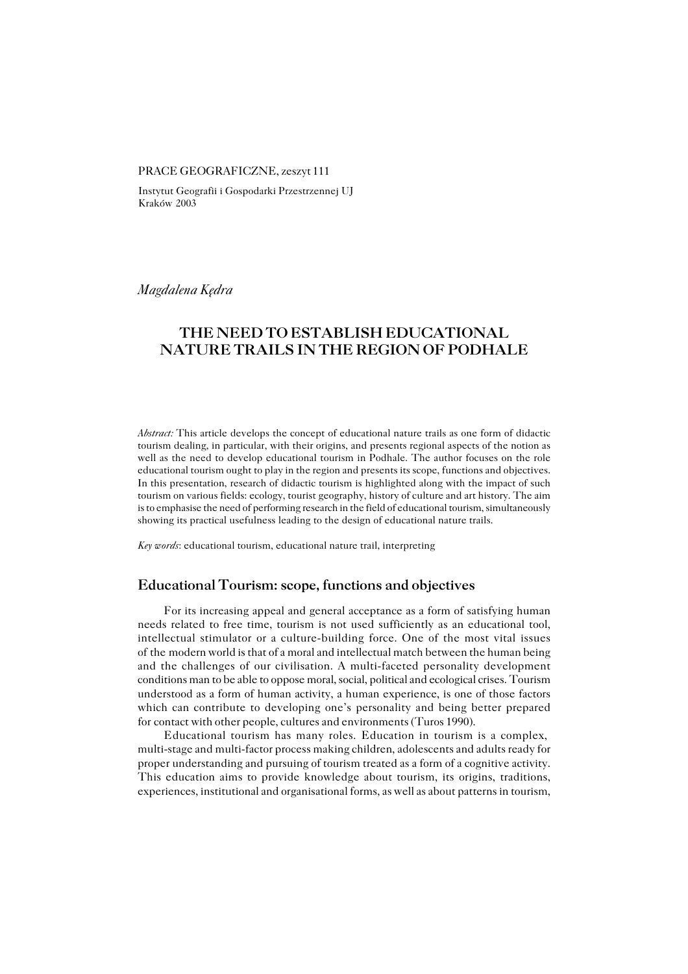#### PRACE GEOGRAFICZNE, zeszyt 111

Instytut Geografii i Gospodarki Przestrzennej UJ Kraków 2003

*Magdalena Kędra*

# **THE NEED TO ESTABLISH EDUCATIONAL NATURE TRAILS IN THE REGION OF PODHALE**

*Abstract:* This article develops the concept of educational nature trails as one form of didactic tourism dealing, in particular, with their origins, and presents regional aspects of the notion as well as the need to develop educational tourism in Podhale. The author focuses on the role educational tourism ought to play in the region and presents its scope, functions and objectives. In this presentation, research of didactic tourism is highlighted along with the impact of such tourism on various fields: ecology, tourist geography, history of culture and art history. The aim is to emphasise the need of performing research in the field of educational tourism, simultaneously showing its practical usefulness leading to the design of educational nature trails.

*Key words*: educational tourism, educational nature trail, interpreting

### **Educational Tourism: scope, functions and objectives**

For its increasing appeal and general acceptance as a form of satisfying human needs related to free time, tourism is not used sufficiently as an educational tool, intellectual stimulator or a culture−building force. One of the most vital issues of the modern world is that of a moral and intellectual match between the human being and the challenges of our civilisation. A multi−faceted personality development conditions man to be able to oppose moral, social, political and ecological crises. Tourism understood as a form of human activity, a human experience, is one of those factors which can contribute to developing one's personality and being better prepared for contact with other people, cultures and environments (Turos 1990).

Educational tourism has many roles. Education in tourism is a complex, multi−stage and multi−factor process making children, adolescents and adults ready for proper understanding and pursuing of tourism treated as a form of a cognitive activity. This education aims to provide knowledge about tourism, its origins, traditions, experiences, institutional and organisational forms, as well as about patterns in tourism,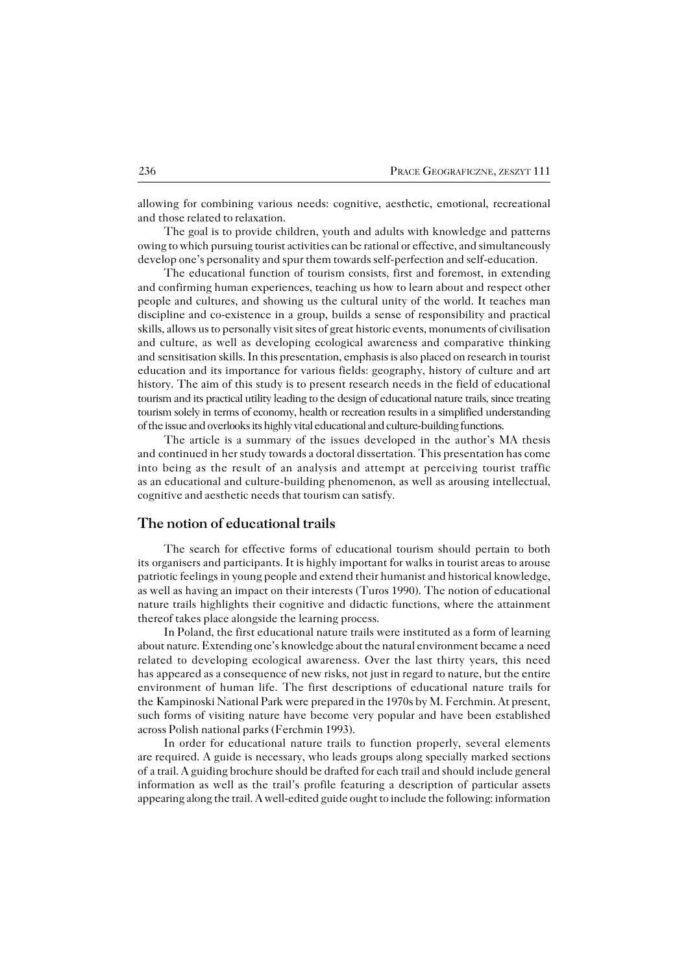allowing for combining various needs: cognitive, aesthetic, emotional, recreational and those related to relaxation.

The goal is to provide children, youth and adults with knowledge and patterns owing to which pursuing tourist activities can be rational or effective, and simultaneously develop one's personality and spur them towards self−perfection and self−education.

The educational function of tourism consists, first and foremost, in extending and confirming human experiences, teaching us how to learn about and respect other people and cultures, and showing us the cultural unity of the world. It teaches man discipline and co−existence in a group, builds a sense of responsibility and practical skills, allows us to personally visit sites of great historic events, monuments of civilisation and culture, as well as developing ecological awareness and comparative thinking and sensitisation skills. In this presentation, emphasis is also placed on research in tourist education and its importance for various fields: geography, history of culture and art history. The aim of this study is to present research needs in the field of educational tourism and its practical utility leading to the design of educational nature trails, since treating tourism solely in terms of economy, health or recreation results in a simplified understanding of the issue and overlooks its highly vital educational and culture−building functions.

The article is a summary of the issues developed in the author's MA thesis and continued in her study towards a doctoral dissertation. This presentation has come into being as the result of an analysis and attempt at perceiving tourist traffic asaneducational and culture−building phenomenon, as well as arousing intellectual, cognitive and aesthetic needs that tourism can satisfy.

## **The notion of educational trails**

The search for effective forms of educational tourism should pertain to both its organisers and participants. It is highly important for walks in tourist areas to arouse patriotic feelings in young people and extend their humanist and historical knowledge, as well as having an impact on their interests (Turos 1990). The notion of educational nature trails highlights their cognitive and didactic functions, where the attainment thereof takes place alongside the learning process.

In Poland, the first educational nature trails were instituted as a form of learning about nature. Extending one's knowledge about the natural environment became aneed related to developing ecological awareness. Over the last thirty years, this need has appeared as a consequence of new risks, not just in regard to nature, but the entire environment of human life. The first descriptions of educational nature trails for the Kampinoski National Park were prepared in the 1970s by M. Ferchmin. At present, such forms of visiting nature have become very popular and have been established across Polish national parks (Ferchmin 1993).

In order for educational nature trails to function properly, several elements are required. A guide is necessary, who leads groups along specially marked sections ofa trail. A guiding brochure should be drafted for each trail and should include general information as well as the trail's profile featuring a description of particular assets appearing along the trail. A well−edited guide ought to include the following: information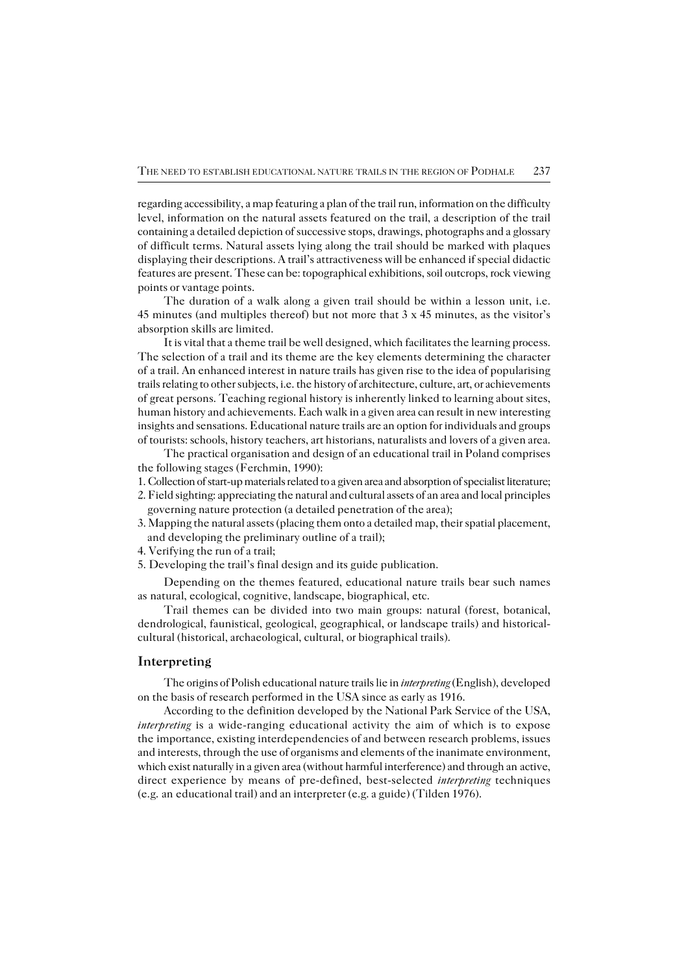regarding accessibility, a map featuring a plan of the trail run, information on the difficulty level, information on the natural assets featured on the trail, a description of the trail containing a detailed depiction of successive stops, drawings, photographs and a glossary of difficult terms. Natural assets lying along the trail should be marked with plaques displaying their descriptions. A trail's attractiveness will be enhanced if special didactic features are present. These can be: topographical exhibitions, soil outcrops, rock viewing points or vantage points.

The duration of a walk along a given trail should be within a lesson unit, i.e. 45 minutes (and multiples thereof) but not more that 3 x 45 minutes, as the visitor's absorption skills are limited.

It is vital that a theme trail be well designed, which facilitates the learning process. The selection of a trail and its theme are the key elements determining the character ofa trail. An enhanced interest in nature trails has given rise to the idea of popularising trails relating to other subjects, i.e. the history of architecture, culture, art, or achievements of great persons. Teaching regional history is inherently linked to learning about sites, human history and achievements. Each walk in a given area can result in new interesting insights and sensations. Educational nature trails are an option for individuals and groups of tourists: schools, history teachers, art historians, naturalists and lovers of a given area.

The practical organisation and design of an educational trail in Poland comprises the following stages (Ferchmin, 1990):

- 1. Collection of start−up materials related to a given area and absorption of specialist literature;
- 2. Field sighting: appreciating the natural and cultural assets of an area and local principles governing nature protection (a detailed penetration of the area);
- 3. Mapping the natural assets (placing them onto a detailed map, their spatial placement, and developing the preliminary outline of a trail);
- 4. Verifying the run of a trail;
- 5. Developing the trail's final design and its guide publication.

Depending on the themes featured, educational nature trails bear such names as natural, ecological, cognitive, landscape, biographical, etc.

Trail themes can be divided into two main groups: natural (forest, botanical, dendrological, faunistical, geological, geographical, or landscape trails) and historical− cultural (historical, archaeological, cultural, or biographical trails).

#### **Interpreting**

The origins of Polish educational nature trails lie in *interpreting* (English), developed on the basis of research performed in the USA since as early as 1916.

According to the definition developed by the National Park Service of the USA, *interpreting* is a wide−ranging educational activity the aim of which is to expose the importance, existing interdependencies of and between research problems, issues and interests, through the use of organisms and elements of the inanimate environment, which exist naturally in a given area (without harmful interference) and through an active, direct experience by means of pre−defined, best−selected *interpreting* techniques (e.g.aneducational trail) and an interpreter (e.g. a guide) (Tilden 1976).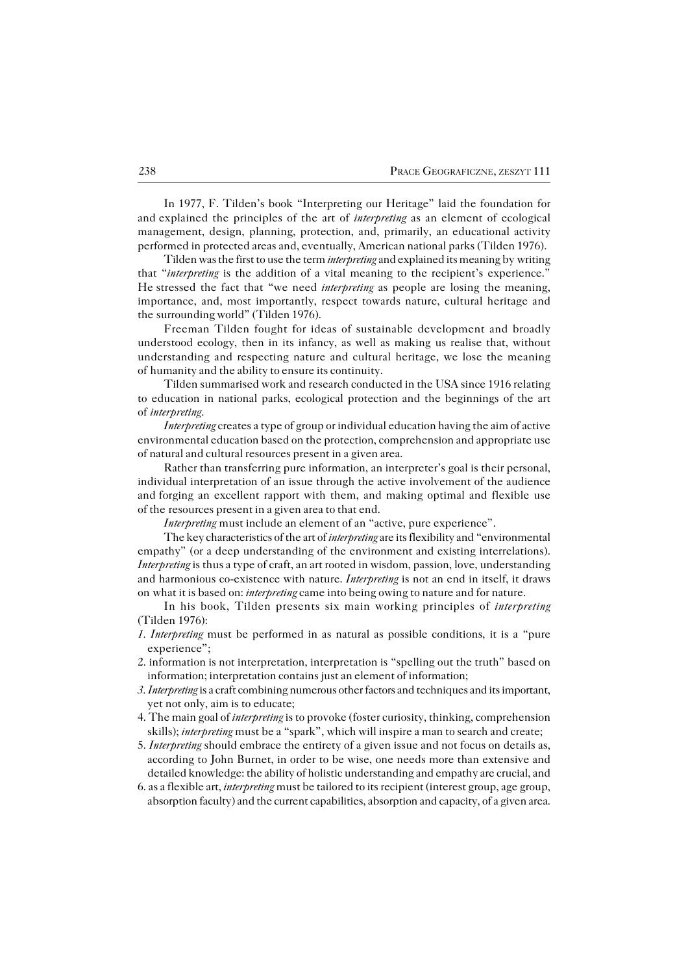In 1977, F. Tilden's book "Interpreting our Heritage" laid the foundation for andexplained the principles of the art of *interpreting* as an element of ecological management, design, planning, protection, and, primarily, an educational activity performed in protected areas and, eventually, American national parks (Tilden 1976).

Tilden was the first to use the term *interpreting* and explained its meaning bywriting that "*interpreting* is the addition of a vital meaning to the recipient's experience." Hestressed the fact that "we need *interpreting* as people are losing the meaning, importance, and, most importantly, respect towards nature, cultural heritage and the surrounding world" (Tilden 1976).

Freeman Tilden fought for ideas of sustainable development and broadly understood ecology, then in its infancy, as well as making us realise that, without understanding and respecting nature and cultural heritage, we lose the meaning of humanity and the ability to ensure its continuity.

Tilden summarised work and research conducted in the USA since 1916 relating to education in national parks, ecological protection and the beginnings of the art of*interpreting*.

*Interpreting* creates a type of group or individual education having the aim of active environmental education based on the protection, comprehension and appropriate use of natural and cultural resources present in a given area.

Rather than transferring pure information, an interpreter's goal is their personal, individual interpretation of an issue through the active involvement of the audience and forging an excellent rapport with them, and making optimal and flexible use of the resources present in a given area to that end.

*Interpreting* must include an element of an "active, pure experience".

The key characteristics of the art of *interpreting* are its flexibility and "environmental empathy" (or a deep understanding of the environment and existing interrelations). *Interpreting* is thus a type of craft, an art rooted in wisdom, passion, love, understanding and harmonious co−existence with nature. *Interpreting* is not an end in itself, it draws onwhat it is based on: *interpreting* came into being owing to nature and for nature.

In his book, Tilden presents six main working principles of *interpreting* (Tilden 1976):

- *1. Interpreting* must be performed in as natural as possible conditions, it is a "pure experience";
- 2. information is not interpretation, interpretation is "spelling out the truth" based on information; interpretation contains just an element of information;
- *3. Interpreting* is a craft combining numerous other factors and techniques and its important, yet not only, aim is to educate;
- 4. The main goal of *interpreting* is to provoke (foster curiosity, thinking, comprehension skills); *interpreting* must be a "spark", which will inspire a man to search and create;
- 5. *Interpreting* should embrace the entirety of a given issue and not focus on details as, according to John Burnet, in order to be wise, one needs more than extensive and detailed knowledge: the ability of holistic understanding and empathy are crucial, and
- 6. as a flexible art, *interpreting* must be tailored to its recipient (interest group, age group, absorption faculty) and the current capabilities, absorption and capacity, of a given area.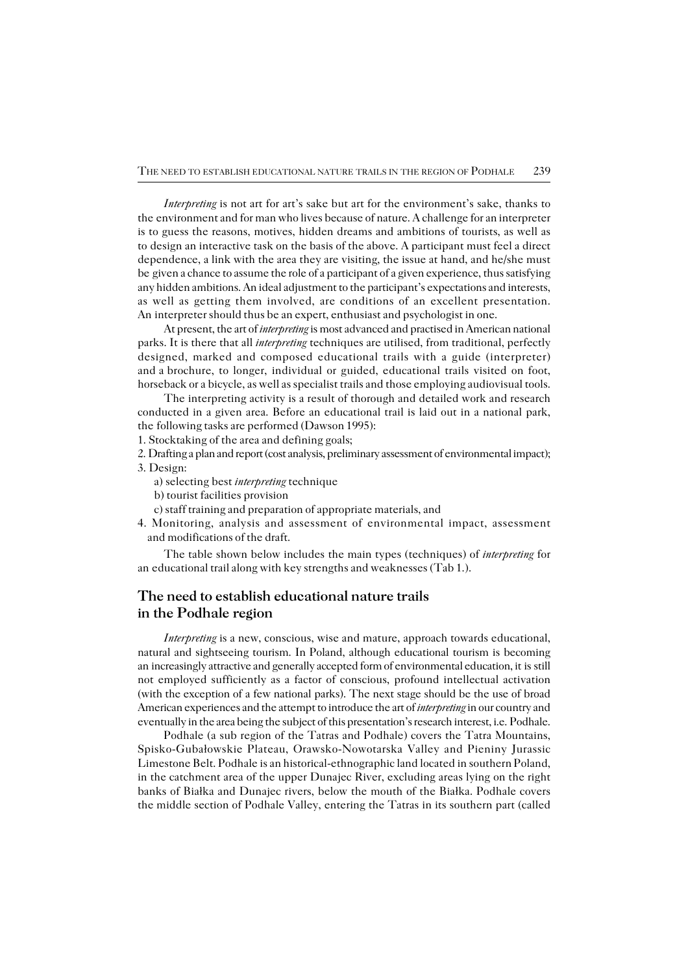*Interpreting* is not art for art's sake but art for the environment's sake, thanks to the environment and for man who lives because of nature. A challenge for an interpreter is to guess the reasons, motives, hidden dreams and ambitions of tourists, as well as to design an interactive task on the basis of the above. A participant must feel a direct dependence, a link with the area they are visiting, the issue at hand, and he/she must begiven a chance to assume the role of a participant of a given experience, thus satisfying any hidden ambitions. An ideal adjustment to the participant's expectations and interests, as well as getting them involved, are conditions of an excellent presentation. An interpreter should thus be an expert, enthusiast and psychologist in one.

At present, the art of *interpreting* is most advanced and practised in American national parks. It is there that all *interpreting* techniques are utilised, from traditional, perfectly designed, marked and composed educational trails with a guide (interpreter) and a brochure, to longer, individual or guided, educational trails visited on foot, horseback or a bicycle, as well as specialist trails and those employing audiovisual tools.

The interpreting activity is a result of thorough and detailed work and research conducted in a given area. Before an educational trail is laid out in a national park, the following tasks are performed (Dawson 1995):

1. Stocktaking of the area and defining goals;

2. Drafting a plan and report (cost analysis, preliminary assessment of environmental impact); 3. Design:

- a) selecting best *interpreting* technique
- b) tourist facilities provision
- c) staff training and preparation of appropriate materials, and
- 4. Monitoring, analysis and assessment of environmental impact, assessment and modifications of the draft.

The table shown below includes the main types (techniques) of *interpreting* for an educational trail along with key strengths and weaknesses (Tab 1.).

## **The need to establish educational nature trails in the Podhale region**

*Interpreting* is a new, conscious, wise and mature, approach towards educational, natural and sightseeing tourism. In Poland, although educational tourism is becoming an increasingly attractive and generally accepted form of environmental education, it is still not employed sufficiently as a factor of conscious, profound intellectual activation (with the exception of a few national parks). The next stage should be the use of broad American experiences and the attempt to introduce the art of *interpreting* in our country and eventually in the area being the subject of this presentation's research interest, i.e.Podhale.

Podhale (a sub region of the Tatras and Podhale) covers the Tatra Mountains, Spisko−Gubałowskie Plateau, Orawsko−Nowotarska Valley and Pieniny Jurassic Limestone Belt. Podhale is an historical−ethnographic land located in southern Poland, in the catchment area of the upper Dunajec River, excluding areas lying on the right banks of Białka and Dunajec rivers, below the mouth of the Białka. Podhale covers themiddle section of Podhale Valley, entering the Tatras in its southern part (called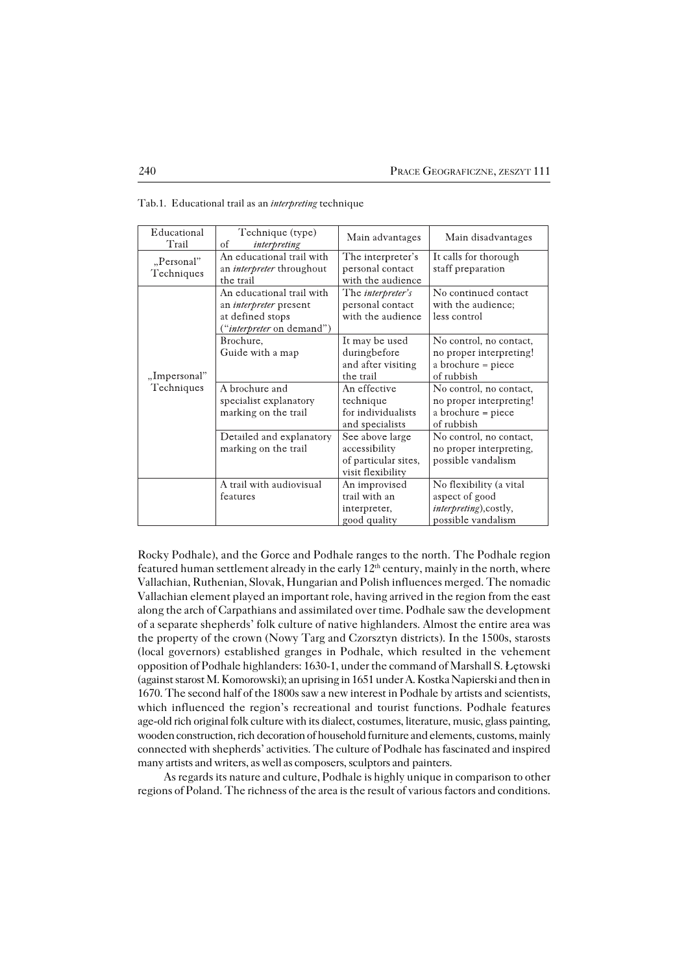| Educational<br>Trail       | Technique (type)<br>of<br>interpreting                                                                             | Main advantages                                                               | Main disadvantages                                                                        |
|----------------------------|--------------------------------------------------------------------------------------------------------------------|-------------------------------------------------------------------------------|-------------------------------------------------------------------------------------------|
| "Personal"<br>Techniques   | An educational trail with<br>an <i>interpreter</i> throughout<br>the trail                                         | The interpreter's<br>personal contact<br>with the audience                    | It calls for thorough<br>staff preparation                                                |
| "Impersonal"<br>Techniques | An educational trail with<br>an <i>interpreter</i> present<br>at defined stops<br>" <i>interpreter</i> on demand") | The <i>interpreter's</i><br>personal contact<br>with the audience             | No continued contact<br>with the audience;<br>less control                                |
|                            | Brochure,<br>Guide with a map                                                                                      | It may be used<br>duringbefore<br>and after visiting<br>the trail             | No control, no contact,<br>no proper interpreting!<br>a brochure = piece<br>of rubbish    |
|                            | A brochure and<br>specialist explanatory<br>marking on the trail                                                   | An effective<br>technique<br>for individualists<br>and specialists            | No control, no contact,<br>no proper interpreting!<br>a brochure = piece<br>of rubbish    |
|                            | Detailed and explanatory<br>marking on the trail                                                                   | See above large<br>accessibility<br>of particular sites,<br>visit flexibility | No control, no contact,<br>no proper interpreting,<br>possible vandalism                  |
|                            | A trail with audiovisual<br>features                                                                               | An improvised<br>trail with an<br>interpreter,<br>good quality                | No flexibility (a vital<br>aspect of good<br>interpreting), costly,<br>possible vandalism |

Tab.1. Educational trail as an *interpreting* technique

Rocky Podhale), and the Gorce and Podhale ranges to the north. The Podhale region featured human settlement already in the early  $12<sup>th</sup>$  century, mainly in the north, where Vallachian, Ruthenian, Slovak, Hungarian and Polish influences merged. The nomadic Vallachian element played an important role, having arrived in the region from the east along the arch of Carpathians and assimilated over time. Podhale saw the development of a separate shepherds' folk culture of native highlanders. Almost the entire area was the property of the crown (Nowy Targ and Czorsztyn districts). In the 1500s, starosts (local governors) established granges in Podhale, which resulted in the vehement opposition of Podhale highlanders: 1630−1, under the command of Marshall S. Łętowski (against starost M. Komorowski); an uprising in 1651 under A. Kostka Napierski and then in 1670. The second half of the 1800s saw a new interest in Podhale by artists and scientists, which influenced the region's recreational and tourist functions. Podhale features age−old rich original folk culture with its dialect, costumes, literature, music, glass painting, wooden construction, rich decoration of household furniture and elements, customs, mainly connected with shepherds' activities. The culture of Podhale has fascinated and inspired many artists and writers, as well as composers, sculptors and painters.

As regards its nature and culture, Podhale is highly unique in comparison to other regions of Poland. The richness of the area is the result of various factors and conditions.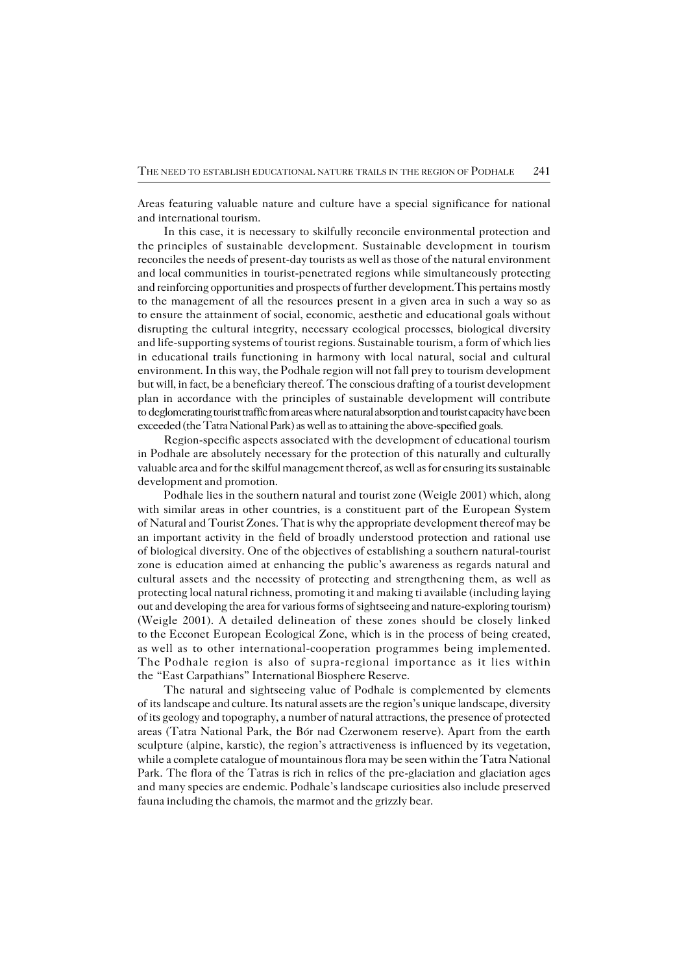Areas featuring valuable nature and culture have a special significance for national and international tourism.

In this case, it is necessary to skilfully reconcile environmental protection and the principles of sustainable development. Sustainable development in tourism reconciles the needs of present−day tourists as well as those of the natural environment and local communities in tourist−penetrated regions while simultaneously protecting and reinforcing opportunities and prospects of further development.This pertains mostly to the management of all the resources present in a given area in such a way so as to ensure the attainment of social, economic, aesthetic and educational goals without disrupting the cultural integrity, necessary ecological processes, biological diversity and life−supporting systems of tourist regions. Sustainable tourism, a form of which lies in educational trails functioning in harmony with local natural, social and cultural environment. In this way, the Podhale region will not fall prey to tourism development but will, in fact, be a beneficiary thereof. The conscious drafting of a tourist development plan in accordance with the principles of sustainable development will contribute to deglomerating tourist traffic from areas where natural absorption and tourist capacity have been exceeded (the Tatra National Park) as well as to attaining the above−specified goals.

Region−specific aspects associated with the development of educational tourism in Podhale are absolutely necessary for the protection of this naturally and culturally valuable area and for the skilful management thereof, as well as for ensuring its sustainable development and promotion.

Podhale lies in the southern natural and tourist zone (Weigle 2001) which, along with similar areas in other countries, is a constituent part of the European System of Natural and Tourist Zones. That is why the appropriate development thereof may be an important activity in the field of broadly understood protection and rational use ofbiological diversity. One of the objectives of establishing a southern natural−tourist zone is education aimed at enhancing the public's awareness as regards natural and cultural assets and the necessity of protecting and strengthening them, as well as protecting local natural richness, promoting it and making ti available (including laying out and developing the area for various forms of sightseeing and nature−exploring tourism) (Weigle 2001). A detailed delineation of these zones should be closely linked to the Ecconet European Ecological Zone, which is in the process of being created, aswell as to other international−cooperation programmes being implemented. The Podhale region is also of supra-regional importance as it lies within the"EastCarpathians" International Biosphere Reserve.

The natural and sightseeing value of Podhale is complemented by elements ofitslandscape and culture. Its natural assets are the region's unique landscape, diversity of its geology and topography, a number of natural attractions, the presence of protected areas (Tatra National Park, the Bór nad Czerwonem reserve). Apart from the earth sculpture (alpine, karstic), the region's attractiveness is influenced by its vegetation, while a complete catalogue of mountainous flora may be seen within the Tatra National Park. The flora of the Tatras is rich in relics of the pre−glaciation and glaciation ages andmany species are endemic. Podhale's landscape curiosities also include preserved fauna including the chamois, the marmot and the grizzly bear.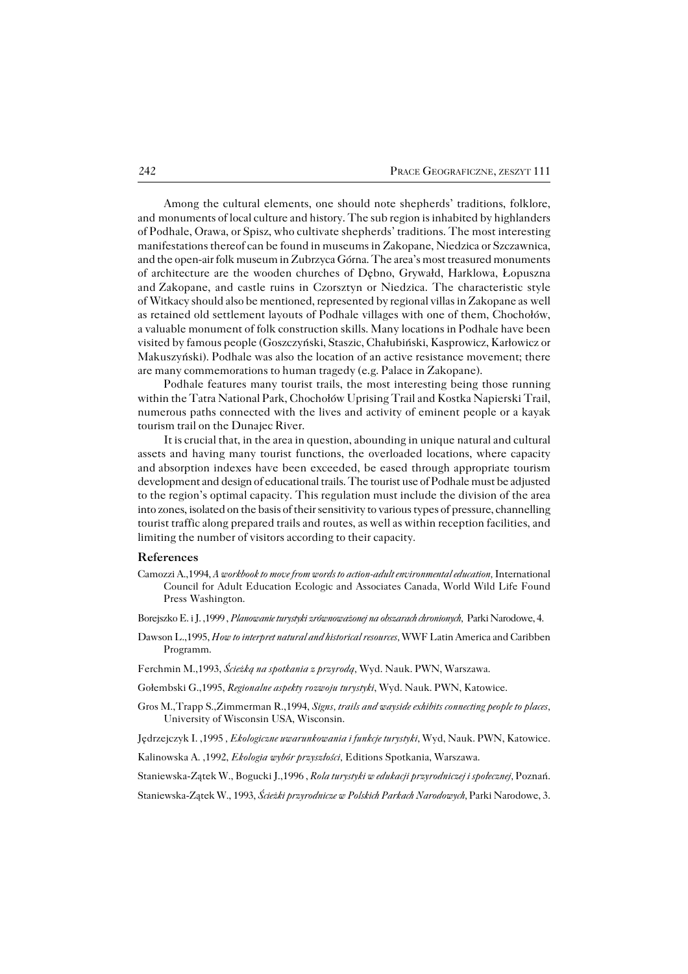Among the cultural elements, one should note shepherds' traditions, folklore, and monuments of local culture and history. The sub region is inhabited by highlanders of Podhale, Orawa, or Spisz, who cultivate shepherds' traditions. The most interesting manifestations thereof can be found in museums in Zakopane, Niedzica or Szczawnica, and the open−air folk museum in Zubrzyca Górna. The area's most treasured monuments of architecture are the wooden churches of Dębno, Grywałd, Harklowa, Łopuszna and Zakopane, and castle ruins in Czorsztyn or Niedzica. The characteristic style ofWitkacy should also be mentioned, represented by regional villas in Zakopane aswell as retained old settlement layouts of Podhale villages with one of them, Chochołów, a valuable monument of folk construction skills. Many locations in Podhale have been visited by famous people (Goszczyński, Staszic, Chałubiński, Kasprowicz, Karłowicz or Makuszyński). Podhale was also the location of an active resistance movement; there are many commemorations to human tragedy (e.g. Palace in Zakopane).

Podhale features many tourist trails, the most interesting being those running within the Tatra National Park, Chochołów Uprising Trail and Kostka Napierski Trail, numerous paths connected with the lives and activity of eminent people or a kayak tourism trail on the Dunajec River.

It is crucial that, in the area in question, abounding in unique natural and cultural assets and having many tourist functions, the overloaded locations, where capacity andabsorption indexes have been exceeded, be eased through appropriate tourism development and design of educational trails. The tourist use of Podhale must be adjusted to the region's optimal capacity. This regulation must include the division of the area into zones, isolated on the basis of their sensitivity to various types of pressure, channelling tourist traffic along prepared trails and routes, as well as within reception facilities, and limiting the number of visitors according to their capacity*.*

#### **References**

- Camozzi A.,1994, *A workbook to move from words to action−adultenvironmental education,* International Council for Adult Education Ecologic and Associates Canada, World Wild Life Found Press Washington.
- Borejszko E. i J. ,1999 , *Planowanie turystyki zrównoważonej na obszarach chronionych,* Parki Narodowe, 4.
- Dawson L.,1995, *How to interpret natural and historical resources,* WWF Latin America and Caribben Programm.
- Ferchmin M.,1993, *Ścieżką na spotkania z przyrodą,* Wyd. Nauk. PWN, Warszawa.
- Gołembski G.,1995, *Regionalne aspekty rozwoju turystyki*, Wyd. Nauk. PWN, Katowice.
- Gros M.,Trapp S.,Zimmerman R.,1994, *Signs, trails and wayside exhibits connecting people to places,* University of Wisconsin USA, Wisconsin.

Jędrzejczyk I. ,1995 *, Ekologiczne uwarunkowania i funkcje turystyki,* Wyd, Nauk. PWN, Katowice.

Kalinowska A. ,1992, *Ekologia wybór przyszłości,* Editions Spotkania, Warszawa.

Staniewska−Zątek W., Bogucki J.,1996 , *Rola turystyki w edukacji przyrodniczej i społecznej,* Poznań.

Staniewska−Zątek W., 1993, *Ścieżki przyrodnicze w Polskich Parkach Narodowych,* Parki Narodowe, 3.